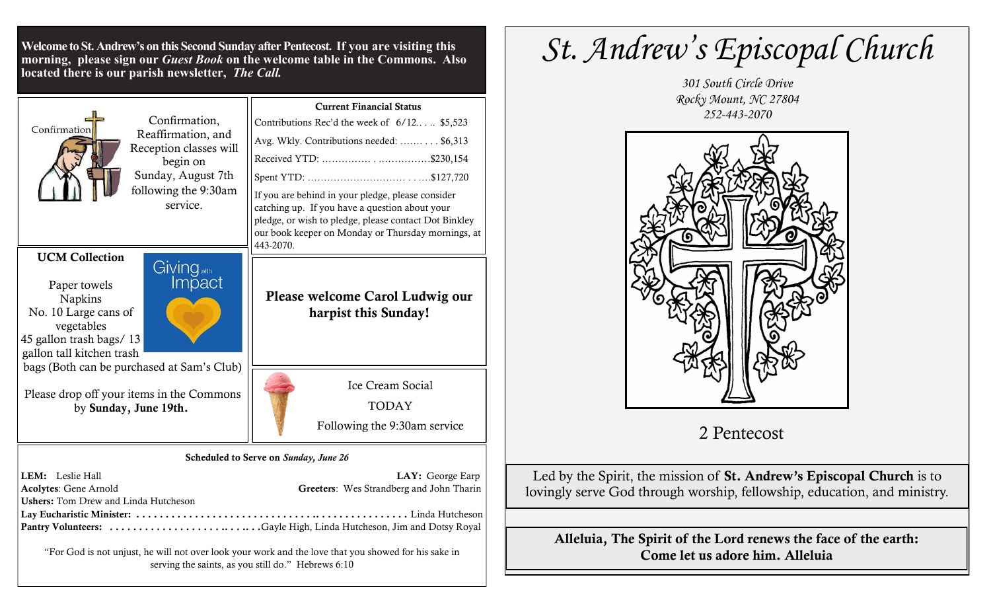**Welcome to St. Andrew's on this Second Sunday after Pentecost. If you are visiting this morning, please sign our** *Guest Book* **on the welcome table in the Commons. Also located there is our parish newsletter,** *The Call.*

| Confirmation,<br>Confirmation<br>Reaffirmation, and<br>Reception classes will<br>begin on<br>Sunday, August 7th<br>following the 9:30am<br>service.                      | <b>Current Financial Status</b><br>Contributions Rec'd the week of 6/12 \$5,523<br>Avg. Wkly. Contributions needed:  \$6,313<br>If you are behind in your pledge, please consider<br>catching up. If you have a question about your<br>pledge, or wish to pledge, please contact Dot Binkley<br>our book keeper on Monday or Thursday mornings, at<br>443-2070. |
|--------------------------------------------------------------------------------------------------------------------------------------------------------------------------|-----------------------------------------------------------------------------------------------------------------------------------------------------------------------------------------------------------------------------------------------------------------------------------------------------------------------------------------------------------------|
| <b>UCM Collection</b><br>Giving <sub>with</sub><br>Paper towels<br>Napkins<br>No. 10 Large cans of<br>vegetables<br>45 gallon trash bags/13<br>gallon tall kitchen trash | Please welcome Carol Ludwig our<br>harpist this Sunday!                                                                                                                                                                                                                                                                                                         |
| bags (Both can be purchased at Sam's Club)                                                                                                                               | Ice Cream Social                                                                                                                                                                                                                                                                                                                                                |
| Please drop off your items in the Commons                                                                                                                                | <b>TODAY</b>                                                                                                                                                                                                                                                                                                                                                    |
| by Sunday, June 19th.                                                                                                                                                    | Following the 9:30am service                                                                                                                                                                                                                                                                                                                                    |
| LEM: Leslie Hall                                                                                                                                                         | Scheduled to Serve on Sunday, June 26                                                                                                                                                                                                                                                                                                                           |
| <b>Acolytes: Gene Arnold</b>                                                                                                                                             | LAY: George Earp                                                                                                                                                                                                                                                                                                                                                |
| <b>Ushers:</b> Tom Drew and Linda Hutcheson                                                                                                                              | Greeters: Wes Strandberg and John Tharin                                                                                                                                                                                                                                                                                                                        |

Lay Eucharistic Minister: . . . . . . . . . . . . . . . . . . . . . . . . . . . . . . .. . . . . . . . . . . . . . . . Linda Hutcheson Pantry Volunteers: . . . . . . . . . . . . . . . . . . . .. . . .. . .Gayle High, Linda Hutcheson, Jim and Dotsy Royal

"For God is not unjust, he will not over look your work and the love that you showed for his sake in serving the saints, as you still do." Hebrews 6:10

## *St. Andrew's Episcopal Church*





## 2 Pentecost

Led by the Spirit, the mission of St. Andrew's Episcopal Church is to lovingly serve God through worship, fellowship, education, and ministry.

Alleluia, The Spirit of the Lord renews the face of the earth: Come let us adore him. Alleluia